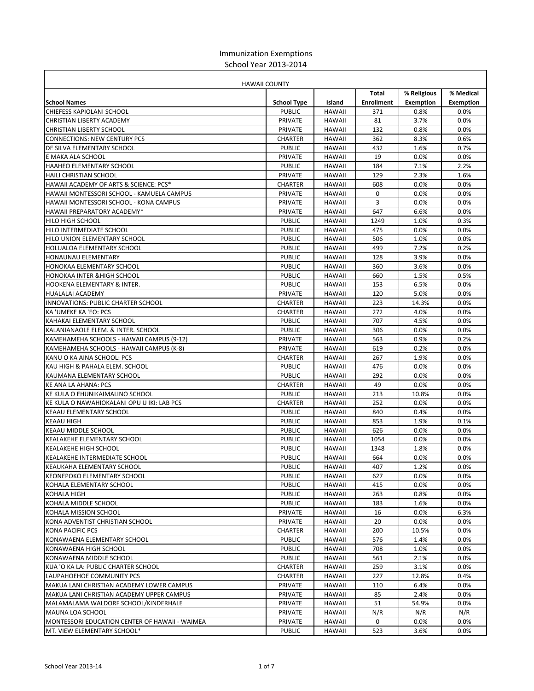## Immunization Exemptions School Year 2013-2014

|                                                | <b>HAWAII COUNTY</b>     |               |                   |                  |                  |
|------------------------------------------------|--------------------------|---------------|-------------------|------------------|------------------|
|                                                |                          |               | Total             | % Religious      | % Medical        |
| <b>School Names</b>                            | <b>School Type</b>       | Island        | <b>Enrollment</b> | <b>Exemption</b> | <b>Exemption</b> |
| <b>CHIEFESS KAPIOLANI SCHOOL</b>               | <b>PUBLIC</b>            | <b>HAWAII</b> | 371               | 0.8%             | 0.0%             |
| CHRISTIAN LIBERTY ACADEMY                      | PRIVATE                  | <b>HAWAII</b> | 81                | 3.7%             | 0.0%             |
| CHRISTIAN LIBERTY SCHOOL                       | PRIVATE                  | <b>HAWAII</b> | 132               | 0.8%             | 0.0%             |
| <b>CONNECTIONS: NEW CENTURY PCS</b>            | <b>CHARTER</b>           | <b>HAWAII</b> | 362               | 8.3%             | 0.6%             |
| DE SILVA ELEMENTARY SCHOOL                     | <b>PUBLIC</b>            | <b>HAWAII</b> | 432               | 1.6%             | 0.7%             |
| E MAKA ALA SCHOOL                              | PRIVATE                  | <b>HAWAII</b> | 19                | 0.0%             | 0.0%             |
| <b>HAAHEO ELEMENTARY SCHOOL</b>                | <b>PUBLIC</b>            | <b>HAWAII</b> | 184               | 7.1%             | 2.2%             |
| <b>HAILI CHRISTIAN SCHOOL</b>                  | PRIVATE                  | <b>HAWAII</b> | 129               | 2.3%             | 1.6%             |
| HAWAII ACADEMY OF ARTS & SCIENCE: PCS*         | CHARTER                  | <b>HAWAII</b> | 608               | 0.0%             | 0.0%             |
| HAWAII MONTESSORI SCHOOL - KAMUELA CAMPUS      | PRIVATE                  | <b>HAWAII</b> | 0                 | 0.0%             | 0.0%             |
| HAWAII MONTESSORI SCHOOL - KONA CAMPUS         | PRIVATE                  | <b>HAWAII</b> | 3                 | 0.0%             | 0.0%             |
| HAWAII PREPARATORY ACADEMY*                    | PRIVATE                  | <b>HAWAII</b> | 647               | 6.6%             | 0.0%             |
| <b>HILO HIGH SCHOOL</b>                        | <b>PUBLIC</b>            | <b>HAWAII</b> | 1249              | 1.0%             | 0.3%             |
| HILO INTERMEDIATE SCHOOL                       | <b>PUBLIC</b>            | <b>HAWAII</b> | 475               | 0.0%             | 0.0%             |
| HILO UNION ELEMENTARY SCHOOL                   | <b>PUBLIC</b>            | <b>HAWAII</b> | 506               | 1.0%             | 0.0%             |
| HOLUALOA ELEMENTARY SCHOOL                     | <b>PUBLIC</b>            | <b>HAWAII</b> | 499               | 7.2%             | 0.2%             |
| HONAUNAU ELEMENTARY                            | <b>PUBLIC</b>            | <b>HAWAII</b> | 128               | 3.9%             | 0.0%             |
| HONOKAA ELEMENTARY SCHOOL                      | <b>PUBLIC</b>            | <b>HAWAII</b> | 360               | 3.6%             | 0.0%             |
| <b>HONOKAA INTER &amp; HIGH SCHOOL</b>         | <b>PUBLIC</b>            | <b>HAWAII</b> | 660               | 1.5%             | 0.5%             |
| <b>HOOKENA ELEMENTARY &amp; INTER.</b>         | <b>PUBLIC</b>            | <b>HAWAII</b> | 153               | 6.5%             | 0.0%             |
| <b>HUALALAI ACADEMY</b>                        | PRIVATE                  | <b>HAWAII</b> | 120               | 5.0%             | 0.0%             |
| INNOVATIONS: PUBLIC CHARTER SCHOOL             | CHARTER                  | <b>HAWAII</b> | 223               | 14.3%            | 0.0%             |
| KA 'UMEKE KA 'EO: PCS                          | CHARTER                  | <b>HAWAII</b> | 272               | 4.0%             | 0.0%             |
| KAHAKAI ELEMENTARY SCHOOL                      | <b>PUBLIC</b>            | <b>HAWAII</b> | 707               | 4.5%             | 0.0%             |
| KALANIANAOLE ELEM. & INTER. SCHOOL             | <b>PUBLIC</b>            | <b>HAWAII</b> | 306               | 0.0%             | 0.0%             |
| KAMEHAMEHA SCHOOLS - HAWAII CAMPUS (9-12)      | PRIVATE                  | <b>HAWAII</b> | 563               | 0.9%             | 0.2%             |
| KAMEHAMEHA SCHOOLS - HAWAII CAMPUS (K-8)       | PRIVATE                  | <b>HAWAII</b> | 619               | 0.2%             | 0.0%             |
| KANU O KA AINA SCHOOL: PCS                     | CHARTER                  | <b>HAWAII</b> | 267               | 1.9%             | 0.0%             |
| KAU HIGH & PAHALA ELEM. SCHOOL                 | <b>PUBLIC</b>            | <b>HAWAII</b> | 476               | 0.0%             | 0.0%             |
| KAUMANA ELEMENTARY SCHOOL                      | <b>PUBLIC</b>            | <b>HAWAII</b> | 292               | 0.0%             | 0.0%             |
| KE ANA LA AHANA: PCS                           | <b>CHARTER</b>           | <b>HAWAII</b> | 49                | 0.0%             | 0.0%             |
| KE KULA O EHUNIKAIMALINO SCHOOL                | <b>PUBLIC</b>            | <b>HAWAII</b> | 213               | 10.8%            | 0.0%             |
|                                                |                          |               | 252               | 0.0%             |                  |
| KE KULA O NAWAHIOKALANI OPU U IKI: LAB PCS     | CHARTER<br><b>PUBLIC</b> | <b>HAWAII</b> |                   |                  | 0.0%             |
| <b>KEAAU ELEMENTARY SCHOOL</b>                 |                          | <b>HAWAII</b> | 840               | 0.4%             | 0.0%             |
| <b>KEAAU HIGH</b>                              | <b>PUBLIC</b>            | <b>HAWAII</b> | 853               | 1.9%             | 0.1%             |
| KEAAU MIDDLE SCHOOL                            | <b>PUBLIC</b>            | <b>HAWAII</b> | 626               | 0.0%             | 0.0%             |
| <b>KEALAKEHE ELEMENTARY SCHOOL</b>             | <b>PUBLIC</b>            | <b>HAWAII</b> | 1054              | 0.0%             | 0.0%             |
| <b>KEALAKEHE HIGH SCHOOL</b>                   | <b>PUBLIC</b>            | <b>HAWAII</b> | 1348              | 1.8%             | 0.0%             |
| <b>KEALAKEHE INTERMEDIATE SCHOOL</b>           | <b>PUBLIC</b>            | <b>HAWAII</b> | 664               | 0.0%             | 0.0%             |
| KEAUKAHA ELEMENTARY SCHOOL                     | <b>PUBLIC</b>            | <b>HAWAII</b> | 407               | 1.2%             | 0.0%             |
| KEONEPOKO ELEMENTARY SCHOOL                    | <b>PUBLIC</b>            | <b>HAWAII</b> | 627               | 0.0%             | 0.0%             |
| KOHALA ELEMENTARY SCHOOL                       | <b>PUBLIC</b>            | <b>HAWAII</b> | 415               | 0.0%             | 0.0%             |
| <b>KOHALA HIGH</b>                             | <b>PUBLIC</b>            | HAWAII        | 263               | 0.8%             | 0.0%             |
| KOHALA MIDDLE SCHOOL                           | <b>PUBLIC</b>            | <b>HAWAII</b> | 183               | 1.6%             | 0.0%             |
| KOHALA MISSION SCHOOL                          | PRIVATE                  | HAWAII        | 16                | 0.0%             | 6.3%             |
| KONA ADVENTIST CHRISTIAN SCHOOL                | PRIVATE                  | <b>HAWAII</b> | 20                | 0.0%             | 0.0%             |
| KONA PACIFIC PCS                               | CHARTER                  | <b>HAWAII</b> | 200               | 10.5%            | $0.0\%$          |
| KONAWAENA ELEMENTARY SCHOOL                    | <b>PUBLIC</b>            | <b>HAWAII</b> | 576               | 1.4%             | 0.0%             |
| KONAWAENA HIGH SCHOOL                          | <b>PUBLIC</b>            | <b>HAWAII</b> | 708               | 1.0%             | 0.0%             |
| KONAWAENA MIDDLE SCHOOL                        | <b>PUBLIC</b>            | <b>HAWAII</b> | 561               | 2.1%             | 0.0%             |
| KUA 'O KA LA: PUBLIC CHARTER SCHOOL            | CHARTER                  | HAWAII        | 259               | 3.1%             | $0.0\%$          |
| LAUPAHOEHOE COMMUNITY PCS                      | CHARTER                  | <b>HAWAII</b> | 227               | 12.8%            | 0.4%             |
| MAKUA LANI CHRISTIAN ACADEMY LOWER CAMPUS      | PRIVATE                  | <b>HAWAII</b> | 110               | 6.4%             | 0.0%             |
| MAKUA LANI CHRISTIAN ACADEMY UPPER CAMPUS      | PRIVATE                  | <b>HAWAII</b> | 85                | 2.4%             | 0.0%             |
| MALAMALAMA WALDORF SCHOOL/KINDERHALE           | PRIVATE                  | <b>HAWAII</b> | 51                | 54.9%            | $0.0\%$          |
| MAUNA LOA SCHOOL                               | PRIVATE                  | <b>HAWAII</b> | N/R               | N/R              | N/R              |
| MONTESSORI EDUCATION CENTER OF HAWAII - WAIMEA | PRIVATE                  | <b>HAWAII</b> | 0                 | 0.0%             | 0.0%             |
| MT. VIEW ELEMENTARY SCHOOL*                    | <b>PUBLIC</b>            | <b>HAWAII</b> | 523               | 3.6%             | 0.0%             |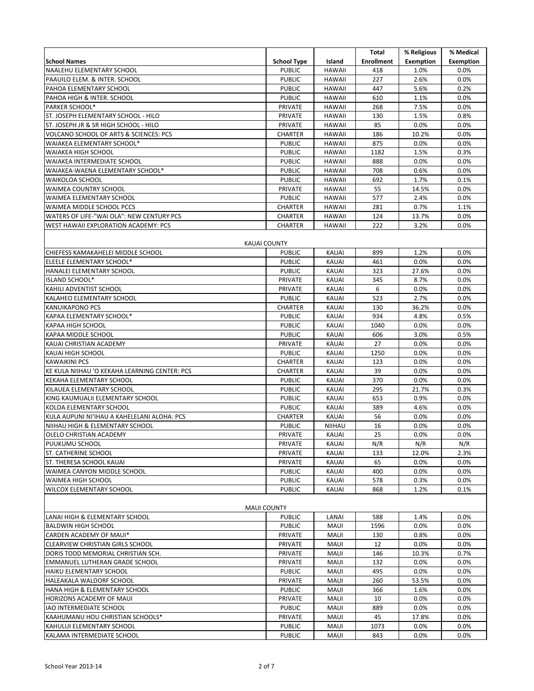|                                                                        |                                 |                       | Total             | % Religious      | % Medical        |
|------------------------------------------------------------------------|---------------------------------|-----------------------|-------------------|------------------|------------------|
| <b>School Names</b>                                                    | <b>School Type</b>              | Island                | <b>Enrollment</b> | <b>Exemption</b> | <b>Exemption</b> |
| NAALEHU ELEMENTARY SCHOOL                                              | <b>PUBLIC</b>                   | <b>HAWAII</b>         | 418               | 1.0%             | 0.0%             |
| PAAUILO ELEM. & INTER. SCHOOL                                          | <b>PUBLIC</b>                   | <b>HAWAII</b>         | 227               | 2.6%             | 0.0%             |
| PAHOA ELEMENTARY SCHOOL                                                | <b>PUBLIC</b>                   | <b>HAWAII</b>         | 447               | 5.6%             | 0.2%             |
| PAHOA HIGH & INTER. SCHOOL                                             | <b>PUBLIC</b>                   | <b>HAWAII</b>         | 610               | 1.1%             | 0.0%             |
| <b>PARKER SCHOOL*</b>                                                  | PRIVATE                         | <b>HAWAII</b>         | 268               | 7.5%             | 0.0%             |
| ST. JOSEPH ELEMENTARY SCHOOL - HILO                                    | PRIVATE                         | <b>HAWAII</b>         | 130               | 1.5%             | 0.8%             |
| ST. JOSEPH JR & SR HIGH SCHOOL - HILO                                  | PRIVATE                         | <b>HAWAII</b>         | 85                | 0.0%             | 0.0%             |
| <b>VOLCANO SCHOOL OF ARTS &amp; SCIENCES: PCS</b>                      | <b>CHARTER</b>                  | <b>HAWAII</b>         | 186               | 10.2%            | 0.0%             |
| WAIAKEA ELEMENTARY SCHOOL*                                             | <b>PUBLIC</b>                   | <b>HAWAII</b>         | 875               | 0.0%             | 0.0%             |
| <b>WAIAKEA HIGH SCHOOL</b>                                             | <b>PUBLIC</b>                   | <b>HAWAII</b>         | 1182              | 1.5%             | 0.3%             |
| WAIAKEA INTERMEDIATE SCHOOL                                            | <b>PUBLIC</b>                   | <b>HAWAII</b>         | 888               | 0.0%             | 0.0%             |
| WAIAKEA-WAENA ELEMENTARY SCHOOL*                                       | <b>PUBLIC</b>                   | <b>HAWAII</b>         | 708               | 0.6%             | 0.0%             |
| <b>WAIKOLOA SCHOOL</b>                                                 | <b>PUBLIC</b>                   | <b>HAWAII</b>         | 692               | 1.7%             | 0.1%             |
| <b>WAIMEA COUNTRY SCHOOL</b>                                           | PRIVATE                         | <b>HAWAII</b>         | 55                | 14.5%            | 0.0%             |
| WAIMEA ELEMENTARY SCHOOL                                               | <b>PUBLIC</b>                   | <b>HAWAII</b>         | 577               | 2.4%             | 0.0%             |
| WAIMEA MIDDLE SCHOOL PCCS                                              | <b>CHARTER</b>                  | <b>HAWAII</b>         | 281               | 0.7%             | 1.1%             |
| WATERS OF LIFE-"WAI OLA": NEW CENTURY PCS                              | <b>CHARTER</b>                  | <b>HAWAII</b>         | 124               | 13.7%            | 0.0%             |
| WEST HAWAII EXPLORATION ACADEMY: PCS                                   | <b>CHARTER</b>                  | <b>HAWAII</b>         | 222               | 3.2%             | 0.0%             |
|                                                                        |                                 |                       |                   |                  |                  |
|                                                                        | <b>KAUAI COUNTY</b>             |                       |                   |                  |                  |
| CHIEFESS KAMAKAHELEI MIDDLE SCHOOL                                     | <b>PUBLIC</b>                   | <b>KAUAI</b>          | 899               | 1.2%             | 0.0%             |
| ELEELE ELEMENTARY SCHOOL*                                              | <b>PUBLIC</b>                   | <b>KAUAI</b>          | 461               | 0.0%             | 0.0%             |
| HANALEI ELEMENTARY SCHOOL                                              | <b>PUBLIC</b>                   | KAUAI                 | 323               | 27.6%            | 0.0%             |
| ISLAND SCHOOL*                                                         | PRIVATE                         | <b>KAUAI</b>          | 345               | 8.7%             | 0.0%             |
| KAHILI ADVENTIST SCHOOL                                                | PRIVATE                         | KAUAI                 | 6                 | 0.0%             | 0.0%             |
| KALAHEO ELEMENTARY SCHOOL                                              | <b>PUBLIC</b>                   | <b>KAUAI</b>          | 523               | 2.7%             | 0.0%             |
| <b>KANUIKAPONO PCS</b>                                                 | <b>CHARTER</b>                  | KAUAI                 | 130               | 36.2%            | 0.0%             |
| KAPAA ELEMENTARY SCHOOL*                                               | <b>PUBLIC</b>                   | <b>KAUAI</b>          | 934               | 4.8%             | 0.5%             |
| <b>KAPAA HIGH SCHOOL</b>                                               | <b>PUBLIC</b>                   | <b>KAUAI</b>          | 1040              | 0.0%             | 0.0%             |
| KAPAA MIDDLE SCHOOL                                                    | <b>PUBLIC</b>                   | <b>KAUAI</b>          | 606               | 3.0%             | 0.5%             |
| KAUAI CHRISTIAN ACADEMY                                                | PRIVATE                         | KAUAI                 | 27                | 0.0%             | 0.0%             |
| KAUAI HIGH SCHOOL                                                      | <b>PUBLIC</b>                   | <b>KAUAI</b>          | 1250              | 0.0%             | 0.0%             |
| <b>KAWAIKINI PCS</b>                                                   | <b>CHARTER</b>                  | <b>KAUAI</b>          | 123               | 0.0%             | 0.0%             |
| KE KULA NIIHAU 'O KEKAHA LEARNING CENTER: PCS                          | <b>CHARTER</b>                  | <b>KAUAI</b>          | 39                | 0.0%             | 0.0%             |
| KEKAHA ELEMENTARY SCHOOL                                               | <b>PUBLIC</b><br><b>PUBLIC</b>  | KAUAI                 | 370               | 0.0%             | 0.0%             |
| KILAUEA ELEMENTARY SCHOOL<br>KING KAUMUALII ELEMENTARY SCHOOL          | <b>PUBLIC</b>                   | <b>KAUAI</b><br>KAUAI | 295               | 21.7%<br>0.9%    | 0.3%             |
|                                                                        |                                 |                       | 653<br>389        |                  | 0.0%<br>0.0%     |
| KOLOA ELEMENTARY SCHOOL<br>KULA AUPUNI NI'IHAU A KAHELELANI ALOHA: PCS | <b>PUBLIC</b><br><b>CHARTER</b> | <b>KAUAI</b><br>KAUAI | 56                | 4.6%<br>0.0%     | 0.0%             |
| NIIHAU HIGH & ELEMENTARY SCHOOL                                        | <b>PUBLIC</b>                   | <b>NIIHAU</b>         | 16                | 0.0%             | 0.0%             |
| OLELO CHRISTIAN ACADEMY                                                | PRIVATE                         | <b>KAUAI</b>          | 25                | 0.0%             | 0.0%             |
| PUUKUMU SCHOOL                                                         | PRIVATE                         | KAUAI                 | N/R               | N/R              | N/R              |
| <b>ST. CATHERINE SCHOOL</b>                                            | PRIVATE                         | KAUAI                 | 133               | 12.0%            | 2.3%             |
| ST. THERESA SCHOOL KAUAI                                               | PRIVATE                         | KAUAI                 | 65                | 0.0%             | 0.0%             |
| WAIMEA CANYON MIDDLE SCHOOL                                            | <b>PUBLIC</b>                   | KAUAI                 | 400               | 0.0%             | 0.0%             |
| WAIMEA HIGH SCHOOL                                                     | <b>PUBLIC</b>                   | KAUAI                 | 578               | 0.3%             | 0.0%             |
| <b>WILCOX ELEMENTARY SCHOOL</b>                                        | <b>PUBLIC</b>                   | KAUAI                 | 868               | 1.2%             | 0.1%             |
|                                                                        |                                 |                       |                   |                  |                  |
| <b>MAUI COUNTY</b>                                                     |                                 |                       |                   |                  |                  |
| LANAI HIGH & ELEMENTARY SCHOOL                                         | <b>PUBLIC</b>                   | LANAI                 | 588               | 1.4%             | 0.0%             |
| <b>BALDWIN HIGH SCHOOL</b>                                             | <b>PUBLIC</b>                   | MAUI                  | 1596              | 0.0%             | 0.0%             |
| CARDEN ACADEMY OF MAUI*                                                | PRIVATE                         | MAUI                  | 130               | 0.8%             | $0.0\%$          |
| CLEARVIEW CHRISTIAN GIRLS SCHOOL                                       | PRIVATE                         | MAUI                  | 12                | 0.0%             | 0.0%             |
| DORIS TODD MEMORIAL CHRISTIAN SCH.                                     | PRIVATE                         | MAUI                  | 146               | 10.3%            | 0.7%             |
| EMMANUEL LUTHERAN GRADE SCHOOL                                         | PRIVATE                         | MAUI                  | 132               | 0.0%             | 0.0%             |
| HAIKU ELEMENTARY SCHOOL                                                | <b>PUBLIC</b>                   | MAUI                  | 495               | 0.0%             | $0.0\%$          |
| HALEAKALA WALDORF SCHOOL                                               | PRIVATE                         | MAUI                  | 260               | 53.5%            | 0.0%             |
| HANA HIGH & ELEMENTARY SCHOOL                                          | <b>PUBLIC</b>                   | MAUI                  | 366               | 1.6%             | 0.0%             |
| HORIZONS ACADEMY OF MAUI                                               | PRIVATE                         | MAUI                  | 10                | 0.0%             | 0.0%             |
| IAO INTERMEDIATE SCHOOL                                                | <b>PUBLIC</b>                   | MAUI                  | 889               | 0.0%             | 0.0%             |
| KAAHUMANU HOU CHRISTIAN SCHOOLS*                                       | PRIVATE                         | MAUI                  | 45                | 17.8%            | 0.0%             |
| KAHULUI ELEMENTARY SCHOOL                                              | <b>PUBLIC</b>                   | MAUI                  | 1073              | 0.0%             | $0.0\%$          |
| KALAMA INTERMEDIATE SCHOOL                                             | <b>PUBLIC</b>                   | MAUI                  | 843               | 0.0%             | 0.0%             |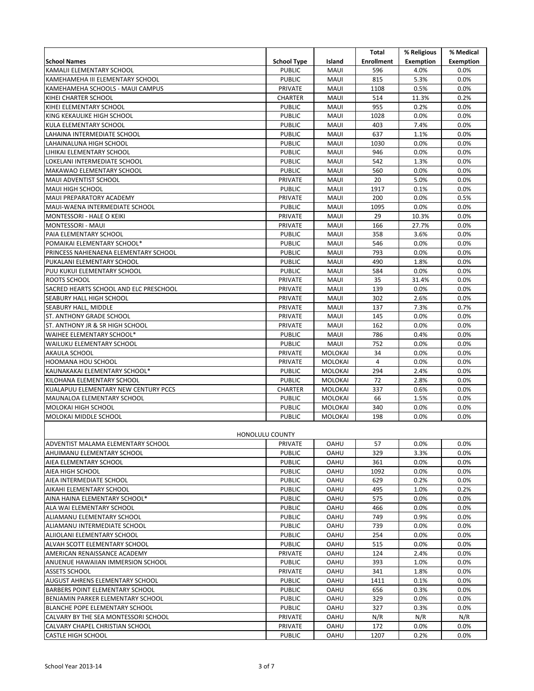|                                             |                          |                     | Total             | % Religious      | % Medical        |
|---------------------------------------------|--------------------------|---------------------|-------------------|------------------|------------------|
| <b>School Names</b>                         | <b>School Type</b>       | Island              | <b>Enrollment</b> | <b>Exemption</b> | <b>Exemption</b> |
| KAMALII ELEMENTARY SCHOOL                   | <b>PUBLIC</b>            | MAUI                | 596               | 4.0%             | 0.0%             |
| KAMEHAMEHA III ELEMENTARY SCHOOL            | <b>PUBLIC</b>            | <b>MAUI</b>         | 815               | 5.3%             | 0.0%             |
| KAMEHAMEHA SCHOOLS - MAUI CAMPUS            | PRIVATE                  | MAUI                | 1108              | 0.5%             | 0.0%             |
| KIHEI CHARTER SCHOOL                        | <b>CHARTER</b>           | <b>MAUI</b>         | 514               | 11.3%            | 0.2%             |
| KIHEI ELEMENTARY SCHOOL                     | <b>PUBLIC</b>            | MAUI                | 955               | 0.2%             | 0.0%             |
| KING KEKAULIKE HIGH SCHOOL                  | <b>PUBLIC</b>            | <b>MAUI</b>         | 1028              | 0.0%             | 0.0%             |
| KULA ELEMENTARY SCHOOL                      | <b>PUBLIC</b>            | MAUI                | 403               | 7.4%             | 0.0%             |
| LAHAINA INTERMEDIATE SCHOOL                 | <b>PUBLIC</b>            | MAUI                | 637               | 1.1%             | 0.0%             |
| LAHAINALUNA HIGH SCHOOL                     | <b>PUBLIC</b>            | MAUI                | 1030              | 0.0%             | 0.0%             |
| LIHIKAI ELEMENTARY SCHOOL                   | <b>PUBLIC</b>            | MAUI                | 946               | 0.0%             | 0.0%             |
| LOKELANI INTERMEDIATE SCHOOL                | <b>PUBLIC</b>            | <b>MAUI</b>         | 542               | 1.3%             | 0.0%             |
| MAKAWAO ELEMENTARY SCHOOL                   | <b>PUBLIC</b>            | MAUI                | 560               | 0.0%             | 0.0%             |
| MAUI ADVENTIST SCHOOL                       | <b>PRIVATE</b>           | <b>MAUI</b>         | 20                | 5.0%             | 0.0%             |
| <b>MAUI HIGH SCHOOL</b>                     | <b>PUBLIC</b>            | MAUI                | 1917              | 0.1%             | 0.0%             |
| MAUI PREPARATORY ACADEMY                    | PRIVATE                  | MAUI                | 200               | 0.0%             | 0.5%             |
| MAUI-WAENA INTERMEDIATE SCHOOL              | <b>PUBLIC</b>            | MAUI                | 1095              | 0.0%             | 0.0%             |
| MONTESSORI - HALE O KEIKI                   | PRIVATE                  | MAUI                | 29                | 10.3%            | 0.0%             |
| <b>MONTESSORI - MAUI</b>                    | PRIVATE                  | MAUI                | 166               | 27.7%            | 0.0%             |
| PAIA ELEMENTARY SCHOOL                      | <b>PUBLIC</b>            | MAUI                | 358               | 3.6%             | 0.0%             |
| POMAIKAI ELEMENTARY SCHOOL*                 | <b>PUBLIC</b>            | MAUI                | 546               | 0.0%             | 0.0%             |
| PRINCESS NAHIENAENA ELEMENTARY SCHOOL       | <b>PUBLIC</b>            | <b>MAUI</b>         | 793               | 0.0%             | 0.0%             |
| PUKALANI ELEMENTARY SCHOOL                  | <b>PUBLIC</b>            | MAUI                | 490               | 1.8%             | 0.0%             |
| PUU KUKUI ELEMENTARY SCHOOL<br>ROOTS SCHOOL | <b>PUBLIC</b><br>PRIVATE | <b>MAUI</b><br>MAUI | 584<br>35         | 0.0%<br>31.4%    | 0.0%<br>0.0%     |
| SACRED HEARTS SCHOOL AND ELC PRESCHOOL      | PRIVATE                  | <b>MAUI</b>         | 139               | 0.0%             | 0.0%             |
| SEABURY HALL HIGH SCHOOL                    | PRIVATE                  | MAUI                | 302               | 2.6%             | 0.0%             |
| SEABURY HALL, MIDDLE                        | PRIVATE                  | <b>MAUI</b>         | 137               | 7.3%             | 0.7%             |
| <b>ST. ANTHONY GRADE SCHOOL</b>             | PRIVATE                  | MAUI                | 145               | 0.0%             | 0.0%             |
| ST. ANTHONY JR & SR HIGH SCHOOL             | PRIVATE                  | <b>MAUI</b>         | 162               | 0.0%             | 0.0%             |
| WAIHEE ELEMENTARY SCHOOL*                   | <b>PUBLIC</b>            | MAUI                | 786               | 0.4%             | 0.0%             |
| WAILUKU ELEMENTARY SCHOOL                   | <b>PUBLIC</b>            | <b>MAUI</b>         | 752               | 0.0%             | 0.0%             |
| <b>AKAULA SCHOOL</b>                        | PRIVATE                  | <b>MOLOKAI</b>      | 34                | 0.0%             | 0.0%             |
| <b>HOOMANA HOU SCHOOL</b>                   | PRIVATE                  | <b>MOLOKAI</b>      | $\overline{4}$    | 0.0%             | 0.0%             |
| KAUNAKAKAI ELEMENTARY SCHOOL*               | <b>PUBLIC</b>            | <b>MOLOKAI</b>      | 294               | 2.4%             | 0.0%             |
| KILOHANA ELEMENTARY SCHOOL                  | <b>PUBLIC</b>            | <b>MOLOKAI</b>      | 72                | 2.8%             | 0.0%             |
| KUALAPUU ELEMENTARY NEW CENTURY PCCS        | <b>CHARTER</b>           | <b>MOLOKAI</b>      | 337               | 0.6%             | 0.0%             |
| MAUNALOA ELEMENTARY SCHOOL                  | <b>PUBLIC</b>            | MOLOKAI             | 66                | 1.5%             | 0.0%             |
| MOLOKAI HIGH SCHOOL                         | <b>PUBLIC</b>            | <b>MOLOKAI</b>      | 340               | 0.0%             | 0.0%             |
| MOLOKAI MIDDLE SCHOOL                       | <b>PUBLIC</b>            | <b>MOLOKAI</b>      | 198               | 0.0%             | 0.0%             |
| <b>HONOLULU COUNTY</b>                      |                          |                     |                   |                  |                  |
| ADVENTIST MALAMA ELEMENTARY SCHOOL          | PRIVATE                  | OAHU                | 57                | 0.0%             | $0.0\%$          |
| AHUIMANU ELEMENTARY SCHOOL                  | <b>PUBLIC</b>            | <b>OAHU</b>         | 329               | 3.3%             | $0.0\%$          |
| AIEA ELEMENTARY SCHOOL                      | <b>PUBLIC</b>            | <b>OAHU</b>         | 361               | 0.0%             | 0.0%             |
| AIEA HIGH SCHOOL                            | <b>PUBLIC</b>            | <b>OAHU</b>         | 1092              | 0.0%             | $0.0\%$          |
| AIEA INTERMEDIATE SCHOOL                    | <b>PUBLIC</b>            | <b>OAHU</b>         | 629               | 0.2%             | $0.0\%$          |
| AIKAHI ELEMENTARY SCHOOL                    | <b>PUBLIC</b>            | <b>OAHU</b>         | 495               | 1.0%             | 0.2%             |
| AINA HAINA ELEMENTARY SCHOOL*               | <b>PUBLIC</b>            | <b>OAHU</b>         | 575               | 0.0%             | $0.0\%$          |
| ALA WAI ELEMENTARY SCHOOL                   | <b>PUBLIC</b>            | <b>OAHU</b>         | 466               | 0.0%             | $0.0\%$          |
| ALIAMANU ELEMENTARY SCHOOL                  | <b>PUBLIC</b>            | <b>OAHU</b>         | 749               | 0.9%             | $0.0\%$          |
| ALIAMANU INTERMEDIATE SCHOOL                | <b>PUBLIC</b>            | <b>OAHU</b>         | 739               | 0.0%             | $0.0\%$          |
| ALIIOLANI ELEMENTARY SCHOOL                 | <b>PUBLIC</b>            | <b>OAHU</b>         | 254               | 0.0%             | $0.0\%$          |
| ALVAH SCOTT ELEMENTARY SCHOOL               | <b>PUBLIC</b>            | <b>OAHU</b>         | 515               | 0.0%             | $0.0\%$          |
| AMERICAN RENAISSANCE ACADEMY                | PRIVATE                  | OAHU                | 124               | 2.4%             | $0.0\%$          |
| ANUENUE HAWAIIAN IMMERSION SCHOOL           | <b>PUBLIC</b>            | <b>OAHU</b>         | 393               | 1.0%             | $0.0\%$          |
| <b>ASSETS SCHOOL</b>                        | PRIVATE                  | OAHU                | 341               | 1.8%             | $0.0\%$          |
| AUGUST AHRENS ELEMENTARY SCHOOL             | <b>PUBLIC</b>            | <b>OAHU</b>         | 1411              | 0.1%             | $0.0\%$          |
| BARBERS POINT ELEMENTARY SCHOOL             | <b>PUBLIC</b>            | OAHU                | 656               | 0.3%             | $0.0\%$          |
| BENJAMIN PARKER ELEMENTARY SCHOOL           | <b>PUBLIC</b>            | <b>OAHU</b>         | 329               | 0.0%             | 0.0%             |
| BLANCHE POPE ELEMENTARY SCHOOL              | <b>PUBLIC</b>            | <b>OAHU</b>         | 327               | 0.3%             | 0.0%             |
| CALVARY BY THE SEA MONTESSORI SCHOOL        | PRIVATE                  | <b>OAHU</b>         | N/R               | N/R              | N/R              |
| CALVARY CHAPEL CHRISTIAN SCHOOL             | PRIVATE                  | OAHU                | 172               | 0.0%             | $0.0\%$          |
| <b>CASTLE HIGH SCHOOL</b>                   | <b>PUBLIC</b>            | <b>OAHU</b>         | 1207              | 0.2%             | $0.0\%$          |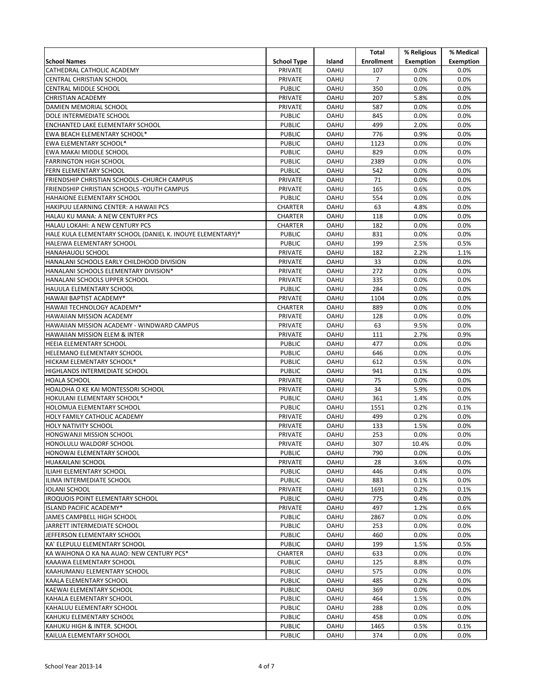|                                                            |                    |             | Total             | % Religious      | % Medical        |
|------------------------------------------------------------|--------------------|-------------|-------------------|------------------|------------------|
| <b>School Names</b>                                        | <b>School Type</b> | Island      | <b>Enrollment</b> | <b>Exemption</b> | <b>Exemption</b> |
| CATHEDRAL CATHOLIC ACADEMY                                 | PRIVATE            | <b>OAHU</b> | 107               | 0.0%             | 0.0%             |
| CENTRAL CHRISTIAN SCHOOL                                   | PRIVATE            | <b>OAHU</b> | $\overline{7}$    | 0.0%             | 0.0%             |
|                                                            | <b>PUBLIC</b>      | <b>OAHU</b> | 350               | 0.0%             | 0.0%             |
| CENTRAL MIDDLE SCHOOL                                      |                    |             |                   |                  |                  |
| <b>CHRISTIAN ACADEMY</b>                                   | PRIVATE            | <b>OAHU</b> | 207               | 5.8%             | 0.0%             |
| DAMIEN MEMORIAL SCHOOL                                     | PRIVATE            | <b>OAHU</b> | 587               | 0.0%             | 0.0%             |
| DOLE INTERMEDIATE SCHOOL                                   | <b>PUBLIC</b>      | <b>OAHU</b> | 845               | 0.0%             | 0.0%             |
| ENCHANTED LAKE ELEMENTARY SCHOOL                           | <b>PUBLIC</b>      | <b>OAHU</b> | 499               | 2.0%             | 0.0%             |
| EWA BEACH ELEMENTARY SCHOOL*                               | <b>PUBLIC</b>      | <b>OAHU</b> | 776               | 0.9%             | 0.0%             |
| EWA ELEMENTARY SCHOOL*                                     | <b>PUBLIC</b>      | <b>OAHU</b> | 1123              | 0.0%             | 0.0%             |
| EWA MAKAI MIDDLE SCHOOL                                    | <b>PUBLIC</b>      | <b>OAHU</b> | 829               | 0.0%             | 0.0%             |
| <b>FARRINGTON HIGH SCHOOL</b>                              | <b>PUBLIC</b>      | <b>OAHU</b> | 2389              | 0.0%             | 0.0%             |
| FERN ELEMENTARY SCHOOL                                     | <b>PUBLIC</b>      | <b>OAHU</b> | 542               | 0.0%             | 0.0%             |
| FRIENDSHIP CHRISTIAN SCHOOLS - CHURCH CAMPUS               | PRIVATE            | <b>OAHU</b> | 71                | 0.0%             | 0.0%             |
| FRIENDSHIP CHRISTIAN SCHOOLS - YOUTH CAMPUS                | PRIVATE            | <b>OAHU</b> | 165               | 0.6%             | 0.0%             |
| HAHAIONE ELEMENTARY SCHOOL                                 | <b>PUBLIC</b>      | <b>OAHU</b> | 554               | 0.0%             | 0.0%             |
| HAKIPUU LEARNING CENTER: A HAWAII PCS                      | <b>CHARTER</b>     | <b>OAHU</b> | 63                | 4.8%             | 0.0%             |
| HALAU KU MANA: A NEW CENTURY PCS                           | <b>CHARTER</b>     | <b>OAHU</b> | 118               | 0.0%             | 0.0%             |
| HALAU LOKAHI: A NEW CENTURY PCS                            | <b>CHARTER</b>     | OAHU        | 182               | 0.0%             | 0.0%             |
| HALE KULA ELEMENTARY SCHOOL (DANIEL K. INOUYE ELEMENTARY)* | <b>PUBLIC</b>      | <b>OAHU</b> | 831               | 0.0%             | 0.0%             |
| HALEIWA ELEMENTARY SCHOOL                                  | <b>PUBLIC</b>      | <b>OAHU</b> | 199               | 2.5%             | 0.5%             |
| <b>HANAHAUOLI SCHOOL</b>                                   | PRIVATE            | <b>OAHU</b> | 182               | 2.2%             | 1.1%             |
| HANALANI SCHOOLS EARLY CHILDHOOD DIVISION                  | PRIVATE            | OAHU        | 33                | 0.0%             | 0.0%             |
| HANALANI SCHOOLS ELEMENTARY DIVISION*                      | PRIVATE            | <b>OAHU</b> | 272               | 0.0%             | 0.0%             |
| HANALANI SCHOOLS UPPER SCHOOL                              | PRIVATE            | <b>OAHU</b> | 335               | 0.0%             | 0.0%             |
| HAUULA ELEMENTARY SCHOOL                                   | <b>PUBLIC</b>      | <b>OAHU</b> | 284               | 0.0%             | 0.0%             |
| HAWAII BAPTIST ACADEMY*                                    | PRIVATE            | OAHU        | 1104              | 0.0%             | 0.0%             |
| HAWAII TECHNOLOGY ACADEMY*                                 | <b>CHARTER</b>     | <b>OAHU</b> | 889               | 0.0%             | 0.0%             |
| HAWAIIAN MISSION ACADEMY                                   | PRIVATE            | <b>OAHU</b> | 128               | 0.0%             | 0.0%             |
| HAWAIIAN MISSION ACADEMY - WINDWARD CAMPUS                 | PRIVATE            | <b>OAHU</b> | 63                | 9.5%             | 0.0%             |
| <b>HAWAIIAN MISSION ELEM &amp; INTER</b>                   | PRIVATE            | <b>OAHU</b> | 111               | 2.7%             | 0.9%             |
| HEEIA ELEMENTARY SCHOOL                                    | <b>PUBLIC</b>      | <b>OAHU</b> | 477               | 0.0%             | 0.0%             |
| HELEMANO ELEMENTARY SCHOOL                                 | <b>PUBLIC</b>      | <b>OAHU</b> | 646               | 0.0%             | 0.0%             |
| HICKAM ELEMENTARY SCHOOL*                                  | <b>PUBLIC</b>      | <b>OAHU</b> | 612               | 0.5%             | 0.0%             |
| HIGHLANDS INTERMEDIATE SCHOOL                              | <b>PUBLIC</b>      | <b>OAHU</b> | 941               | 0.1%             | 0.0%             |
| <b>HOALA SCHOOL</b>                                        | PRIVATE            | <b>OAHU</b> | 75                | 0.0%             | 0.0%             |
| HOALOHA O KE KAI MONTESSORI SCHOOL                         | PRIVATE            | <b>OAHU</b> | 34                | 5.9%             | 0.0%             |
|                                                            | <b>PUBLIC</b>      | <b>OAHU</b> | 361               | 1.4%             | 0.0%             |
| HOKULANI ELEMENTARY SCHOOL*                                |                    |             |                   |                  |                  |
| HOLOMUA ELEMENTARY SCHOOL                                  | <b>PUBLIC</b>      | <b>OAHU</b> | 1551              | 0.2%             | 0.1%             |
| HOLY FAMILY CATHOLIC ACADEMY                               | <b>PRIVATE</b>     | <b>OAHU</b> | 499               | 0.2%             | 0.0%             |
| HOLY NATIVITY SCHOOL                                       | PRIVATE            | <b>OAHU</b> | 133               | 1.5%             | 0.0%             |
| <b>HONGWANJI MISSION SCHOOL</b>                            | PRIVATE            | <b>OAHU</b> | 253               | 0.0%             | 0.0%             |
| HONOLULU WALDORF SCHOOL                                    | PRIVATE            | <b>OAHU</b> | 307               | 10.4%            | 0.0%             |
| HONOWAI ELEMENTARY SCHOOL                                  | <b>PUBLIC</b>      | OAHU        | 790               | 0.0%             | 0.0%             |
| HUAKAILANI SCHOOL                                          | PRIVATE            | <b>OAHU</b> | 28                | 3.6%             | $0.0\%$          |
| ILIAHI ELEMENTARY SCHOOL                                   | <b>PUBLIC</b>      | <b>OAHU</b> | 446               | 0.4%             | 0.0%             |
| ILIMA INTERMEDIATE SCHOOL                                  | <b>PUBLIC</b>      | <b>OAHU</b> | 883               | 0.1%             | 0.0%             |
| <b>IOLANI SCHOOL</b>                                       | PRIVATE            | <b>OAHU</b> | 1691              | 0.2%             | 0.1%             |
| IROQUOIS POINT ELEMENTARY SCHOOL                           | <b>PUBLIC</b>      | <b>OAHU</b> | 775               | 0.4%             | $0.0\%$          |
| ISLAND PACIFIC ACADEMY*                                    | PRIVATE            | <b>OAHU</b> | 497               | 1.2%             | 0.6%             |
| JAMES CAMPBELL HIGH SCHOOL                                 | <b>PUBLIC</b>      | <b>OAHU</b> | 2867              | 0.0%             | 0.0%             |
| JARRETT INTERMEDIATE SCHOOL                                | <b>PUBLIC</b>      | OAHU        | 253               | 0.0%             | 0.0%             |
| JEFFERSON ELEMENTARY SCHOOL                                | <b>PUBLIC</b>      | <b>OAHU</b> | 460               | 0.0%             | $0.0\%$          |
| KA' ELEPULU ELEMENTARY SCHOOL                              | <b>PUBLIC</b>      | <b>OAHU</b> | 199               | 1.5%             | 0.5%             |
| KA WAIHONA O KA NA AUAO: NEW CENTURY PCS*                  | CHARTER            | <b>OAHU</b> | 633               | 0.0%             | 0.0%             |
| KAAAWA ELEMENTARY SCHOOL                                   | <b>PUBLIC</b>      | <b>OAHU</b> | 125               | 8.8%             | 0.0%             |
| KAAHUMANU ELEMENTARY SCHOOL                                | <b>PUBLIC</b>      | <b>OAHU</b> | 575               | 0.0%             | 0.0%             |
| KAALA ELEMENTARY SCHOOL                                    | <b>PUBLIC</b>      | <b>OAHU</b> | 485               | 0.2%             | 0.0%             |
| KAEWAI ELEMENTARY SCHOOL                                   | <b>PUBLIC</b>      | <b>OAHU</b> | 369               | 0.0%             | 0.0%             |
| KAHALA ELEMENTARY SCHOOL                                   | <b>PUBLIC</b>      | <b>OAHU</b> | 464               | 1.5%             | 0.0%             |
| KAHALUU ELEMENTARY SCHOOL                                  | <b>PUBLIC</b>      | <b>OAHU</b> | 288               | 0.0%             | 0.0%             |
| KAHUKU ELEMENTARY SCHOOL                                   | <b>PUBLIC</b>      | OAHU        | 458               | 0.0%             | 0.0%             |
| KAHUKU HIGH & INTER. SCHOOL                                | <b>PUBLIC</b>      | <b>OAHU</b> | 1465              | 0.5%             | 0.1%             |
| KAILUA ELEMENTARY SCHOOL                                   | <b>PUBLIC</b>      | OAHU        | 374               | 0.0%             | 0.0%             |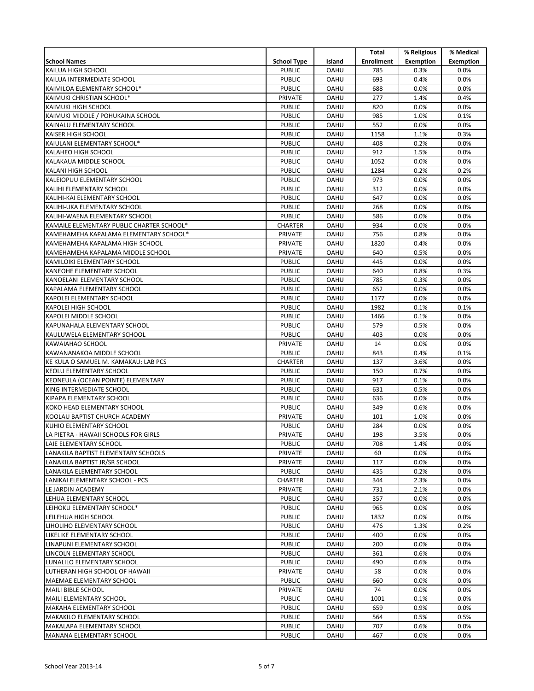|                                                                   |                                 |                     | Total             | % Religious      | % Medical        |
|-------------------------------------------------------------------|---------------------------------|---------------------|-------------------|------------------|------------------|
| <b>School Names</b>                                               | <b>School Type</b>              | Island              | <b>Enrollment</b> | <b>Exemption</b> | <b>Exemption</b> |
| KAILUA HIGH SCHOOL                                                | <b>PUBLIC</b>                   | <b>OAHU</b>         | 785               | 0.3%             | $0.0\%$          |
| KAILUA INTERMEDIATE SCHOOL                                        | <b>PUBLIC</b>                   | <b>OAHU</b>         | 693               | 0.4%             | 0.0%             |
| KAIMILOA ELEMENTARY SCHOOL*                                       | <b>PUBLIC</b>                   | <b>OAHU</b>         | 688               | 0.0%             | 0.0%             |
| KAIMUKI CHRISTIAN SCHOOL*                                         | PRIVATE                         | <b>OAHU</b>         | 277               | 1.4%             | 0.4%             |
| <b>KAIMUKI HIGH SCHOOL</b>                                        | <b>PUBLIC</b>                   | <b>OAHU</b>         | 820               | 0.0%             | 0.0%             |
| KAIMUKI MIDDLE / POHUKAINA SCHOOL                                 | <b>PUBLIC</b>                   | <b>OAHU</b>         | 985               | 1.0%             | 0.1%             |
| KAINALU ELEMENTARY SCHOOL                                         | <b>PUBLIC</b>                   | <b>OAHU</b>         | 552               | 0.0%             | 0.0%             |
| <b>KAISER HIGH SCHOOL</b>                                         | <b>PUBLIC</b>                   | <b>OAHU</b>         | 1158              | 1.1%             | 0.3%             |
| KAIULANI ELEMENTARY SCHOOL*                                       | <b>PUBLIC</b>                   | <b>OAHU</b>         | 408               | 0.2%             | 0.0%             |
| <b>KALAHEO HIGH SCHOOL</b>                                        | <b>PUBLIC</b>                   | <b>OAHU</b>         | 912               | 1.5%             | 0.0%             |
| KALAKAUA MIDDLE SCHOOL                                            | <b>PUBLIC</b>                   | <b>OAHU</b>         | 1052              | 0.0%             | 0.0%             |
| <b>KALANI HIGH SCHOOL</b>                                         | <b>PUBLIC</b>                   | <b>OAHU</b>         | 1284              | 0.2%             | 0.2%             |
| KALEIOPUU ELEMENTARY SCHOOL                                       | <b>PUBLIC</b>                   | <b>OAHU</b>         | 973               | 0.0%             | 0.0%             |
| KALIHI ELEMENTARY SCHOOL                                          | <b>PUBLIC</b>                   | <b>OAHU</b>         | 312               | 0.0%             | 0.0%             |
| KALIHI-KAI ELEMENTARY SCHOOL                                      | <b>PUBLIC</b>                   | <b>OAHU</b>         | 647               | 0.0%             | 0.0%             |
| KALIHI-UKA ELEMENTARY SCHOOL                                      | <b>PUBLIC</b>                   | <b>OAHU</b>         | 268               | 0.0%             | 0.0%             |
| KALIHI-WAENA ELEMENTARY SCHOOL                                    | <b>PUBLIC</b>                   | <b>OAHU</b>         | 586               | 0.0%             | 0.0%             |
| KAMAILE ELEMENTARY PUBLIC CHARTER SCHOOL*                         | <b>CHARTER</b>                  | OAHU                | 934               | 0.0%             | 0.0%             |
| KAMEHAMEHA KAPALAMA ELEMENTARY SCHOOL*                            | PRIVATE                         | <b>OAHU</b>         | 756               | 0.8%             | 0.0%             |
| KAMEHAMEHA KAPALAMA HIGH SCHOOL                                   | PRIVATE                         | <b>OAHU</b>         | 1820              | 0.4%             | 0.0%             |
| KAMEHAMEHA KAPALAMA MIDDLE SCHOOL                                 | PRIVATE                         | <b>OAHU</b>         | 640               | 0.5%             | 0.0%             |
| KAMILOIKI ELEMENTARY SCHOOL                                       | <b>PUBLIC</b>                   | <b>OAHU</b>         | 445               | 0.0%             | 0.0%             |
| KANEOHE ELEMENTARY SCHOOL                                         | <b>PUBLIC</b>                   | <b>OAHU</b>         | 640               | 0.8%             | 0.3%             |
| KANOELANI ELEMENTARY SCHOOL                                       | <b>PUBLIC</b>                   | <b>OAHU</b>         | 785               | 0.3%             | 0.0%             |
| KAPALAMA ELEMENTARY SCHOOL                                        | <b>PUBLIC</b>                   | <b>OAHU</b>         | 652               | 0.0%             | 0.0%             |
| KAPOLEI ELEMENTARY SCHOOL                                         | <b>PUBLIC</b>                   | <b>OAHU</b>         | 1177              | 0.0%             | 0.0%             |
| <b>KAPOLEI HIGH SCHOOL</b>                                        | <b>PUBLIC</b>                   | <b>OAHU</b>         | 1982              | 0.1%             | 0.1%             |
| KAPOLEI MIDDLE SCHOOL                                             | <b>PUBLIC</b>                   | <b>OAHU</b>         | 1466              | 0.1%             | 0.0%             |
| KAPUNAHALA ELEMENTARY SCHOOL                                      | <b>PUBLIC</b>                   | <b>OAHU</b>         | 579               | 0.5%             | 0.0%             |
| KAULUWELA ELEMENTARY SCHOOL                                       | <b>PUBLIC</b>                   | <b>OAHU</b>         | 403               | 0.0%             | 0.0%             |
| KAWAIAHAO SCHOOL                                                  | PRIVATE                         | <b>OAHU</b>         | 14                | 0.0%             | 0.0%             |
| KAWANANAKOA MIDDLE SCHOOL<br>KE KULA O SAMUEL M. KAMAKAU: LAB PCS | <b>PUBLIC</b><br><b>CHARTER</b> | <b>OAHU</b><br>OAHU | 843<br>137        | 0.4%<br>3.6%     | 0.1%<br>0.0%     |
| KEOLU ELEMENTARY SCHOOL                                           | <b>PUBLIC</b>                   | <b>OAHU</b>         | 150               | 0.7%             | 0.0%             |
| KEONEULA (OCEAN POINTE) ELEMENTARY                                | <b>PUBLIC</b>                   | <b>OAHU</b>         | 917               | 0.1%             | 0.0%             |
| KING INTERMEDIATE SCHOOL                                          | <b>PUBLIC</b>                   | <b>OAHU</b>         | 631               | 0.5%             | 0.0%             |
| KIPAPA ELEMENTARY SCHOOL                                          | <b>PUBLIC</b>                   | OAHU                | 636               | 0.0%             | 0.0%             |
| KOKO HEAD ELEMENTARY SCHOOL                                       | <b>PUBLIC</b>                   | <b>OAHU</b>         | 349               | 0.6%             | 0.0%             |
| KOOLAU BAPTIST CHURCH ACADEMY                                     | PRIVATE                         | <b>OAHU</b>         | 101               | 1.0%             | 0.0%             |
| KUHIO ELEMENTARY SCHOOL                                           | <b>PUBLIC</b>                   | <b>OAHU</b>         | 284               | 0.0%             | 0.0%             |
| LA PIETRA - HAWAII SCHOOLS FOR GIRLS                              | PRIVATE                         | <b>OAHU</b>         | 198               | 3.5%             | 0.0%             |
| LAIE ELEMENTARY SCHOOL                                            | <b>PUBLIC</b>                   | <b>OAHU</b>         | 708               | 1.4%             | 0.0%             |
| LANAKILA BAPTIST ELEMENTARY SCHOOLS                               | PRIVATE                         | <b>OAHU</b>         | 60                | 0.0%             | 0.0%             |
| LANAKILA BAPTIST JR/SR SCHOOL                                     | PRIVATE                         | <b>OAHU</b>         | 117               | 0.0%             | 0.0%             |
| LANAKILA ELEMENTARY SCHOOL                                        | <b>PUBLIC</b>                   | <b>OAHU</b>         | 435               | 0.2%             | 0.0%             |
| LANIKAI ELEMENTARY SCHOOL - PCS                                   | CHARTER                         | <b>OAHU</b>         | 344               | 2.3%             | 0.0%             |
| LE JARDIN ACADEMY                                                 | PRIVATE                         | <b>OAHU</b>         | 731               | 2.1%             | 0.0%             |
| LEHUA ELEMENTARY SCHOOL                                           | <b>PUBLIC</b>                   | <b>OAHU</b>         | 357               | 0.0%             | 0.0%             |
| LEIHOKU ELEMENTARY SCHOOL*                                        | <b>PUBLIC</b>                   | <b>OAHU</b>         | 965               | 0.0%             | 0.0%             |
| LEILEHUA HIGH SCHOOL                                              | <b>PUBLIC</b>                   | <b>OAHU</b>         | 1832              | 0.0%             | 0.0%             |
| LIHOLIHO ELEMENTARY SCHOOL                                        | <b>PUBLIC</b>                   | <b>OAHU</b>         | 476               | 1.3%             | 0.2%             |
| LIKELIKE ELEMENTARY SCHOOL                                        | <b>PUBLIC</b>                   | <b>OAHU</b>         | 400               | 0.0%             | 0.0%             |
| LINAPUNI ELEMENTARY SCHOOL                                        | <b>PUBLIC</b>                   | <b>OAHU</b>         | 200               | 0.0%             | 0.0%             |
| LINCOLN ELEMENTARY SCHOOL                                         | <b>PUBLIC</b>                   | <b>OAHU</b>         | 361               | 0.6%             | 0.0%             |
| LUNALILO ELEMENTARY SCHOOL                                        | <b>PUBLIC</b>                   | <b>OAHU</b>         | 490               | 0.6%             | 0.0%             |
| LUTHERAN HIGH SCHOOL OF HAWAII                                    | PRIVATE                         | <b>OAHU</b>         | 58                | 0.0%             | 0.0%             |
| MAEMAE ELEMENTARY SCHOOL                                          | <b>PUBLIC</b>                   | <b>OAHU</b>         | 660               | 0.0%             | 0.0%             |
| <b>MAILI BIBLE SCHOOL</b>                                         | PRIVATE                         | <b>OAHU</b>         | 74                | 0.0%             | 0.0%             |
| MAILI ELEMENTARY SCHOOL                                           | <b>PUBLIC</b>                   | <b>OAHU</b>         | 1001              | 0.1%             | 0.0%             |
| MAKAHA ELEMENTARY SCHOOL                                          | <b>PUBLIC</b>                   | <b>OAHU</b>         | 659               | 0.9%             | 0.0%             |
| MAKAKILO ELEMENTARY SCHOOL                                        | <b>PUBLIC</b>                   | <b>OAHU</b>         | 564               | 0.5%             | 0.5%             |
| MAKALAPA ELEMENTARY SCHOOL                                        | <b>PUBLIC</b>                   | <b>OAHU</b>         | 707               | 0.6%             | 0.0%             |
| MANANA ELEMENTARY SCHOOL                                          | <b>PUBLIC</b>                   | <b>OAHU</b>         | 467               | 0.0%             | $0.0\%$          |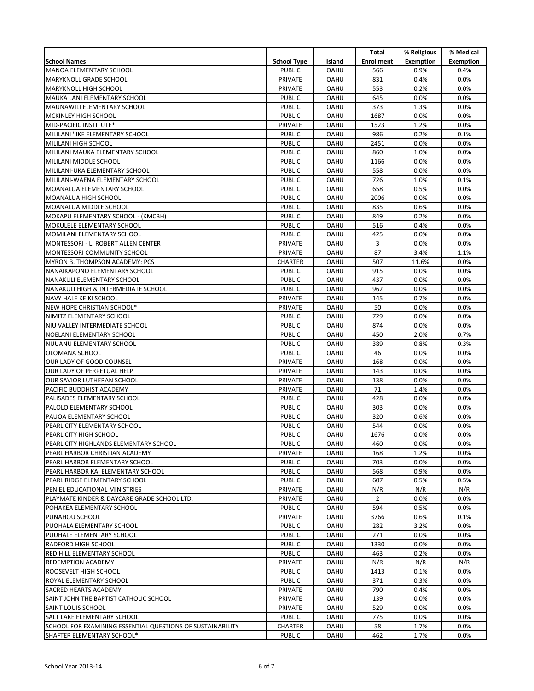|                                                            |                    |             | Total             | % Religious      | % Medical        |
|------------------------------------------------------------|--------------------|-------------|-------------------|------------------|------------------|
| <b>School Names</b>                                        | <b>School Type</b> | Island      | <b>Enrollment</b> | <b>Exemption</b> | <b>Exemption</b> |
| <b>MANOA ELEMENTARY SCHOOL</b>                             | <b>PUBLIC</b>      | <b>OAHU</b> | 566               | 0.9%             | 0.4%             |
| MARYKNOLL GRADE SCHOOL                                     | PRIVATE            | <b>OAHU</b> | 831               | 0.4%             | 0.0%             |
|                                                            | PRIVATE            | <b>OAHU</b> | 553               | 0.2%             | 0.0%             |
| <b>MARYKNOLL HIGH SCHOOL</b>                               |                    | <b>OAHU</b> |                   |                  |                  |
| MAUKA LANI ELEMENTARY SCHOOL                               | <b>PUBLIC</b>      |             | 645               | 0.0%             | 0.0%             |
| MAUNAWILI ELEMENTARY SCHOOL                                | <b>PUBLIC</b>      | <b>OAHU</b> | 373               | 1.3%             | 0.0%             |
| MCKINLEY HIGH SCHOOL                                       | <b>PUBLIC</b>      | <b>OAHU</b> | 1687              | 0.0%             | 0.0%             |
| MID-PACIFIC INSTITUTE*                                     | PRIVATE            | <b>OAHU</b> | 1523              | 1.2%             | 0.0%             |
| MILILANI ' IKE ELEMENTARY SCHOOL                           | <b>PUBLIC</b>      | <b>OAHU</b> | 986               | 0.2%             | 0.1%             |
| MILILANI HIGH SCHOOL                                       | <b>PUBLIC</b>      | <b>OAHU</b> | 2451              | 0.0%             | 0.0%             |
| MILILANI MAUKA ELEMENTARY SCHOOL                           | <b>PUBLIC</b>      | <b>OAHU</b> | 860               | 1.0%             | 0.0%             |
| MILILANI MIDDLE SCHOOL                                     | <b>PUBLIC</b>      | <b>OAHU</b> | 1166              | 0.0%             | 0.0%             |
| MILILANI-UKA ELEMENTARY SCHOOL                             | <b>PUBLIC</b>      | <b>OAHU</b> | 558               | 0.0%             | 0.0%             |
| MILILANI-WAENA ELEMENTARY SCHOOL                           | <b>PUBLIC</b>      | <b>OAHU</b> | 726               | 1.0%             | 0.1%             |
| MOANALUA ELEMENTARY SCHOOL                                 | <b>PUBLIC</b>      | <b>OAHU</b> | 658               | 0.5%             | 0.0%             |
| MOANALUA HIGH SCHOOL                                       | <b>PUBLIC</b>      | <b>OAHU</b> | 2006              | 0.0%             | 0.0%             |
| MOANALUA MIDDLE SCHOOL                                     | <b>PUBLIC</b>      | <b>OAHU</b> | 835               | 0.6%             | 0.0%             |
| MOKAPU ELEMENTARY SCHOOL - (KMCBH)                         | <b>PUBLIC</b>      | <b>OAHU</b> | 849               | 0.2%             | 0.0%             |
| MOKULELE ELEMENTARY SCHOOL                                 | <b>PUBLIC</b>      | OAHU        | 516               | 0.4%             | 0.0%             |
| MOMILANI ELEMENTARY SCHOOL                                 | <b>PUBLIC</b>      | <b>OAHU</b> | 425               | 0.0%             | 0.0%             |
| MONTESSORI - L. ROBERT ALLEN CENTER                        | PRIVATE            | <b>OAHU</b> | 3                 | 0.0%             | 0.0%             |
| MONTESSORI COMMUNITY SCHOOL                                | PRIVATE            | <b>OAHU</b> | 87                | 3.4%             | 1.1%             |
| MYRON B. THOMPSON ACADEMY: PCS                             | <b>CHARTER</b>     | <b>OAHU</b> | 507               | 11.6%            | 0.0%             |
| NANAIKAPONO ELEMENTARY SCHOOL                              | <b>PUBLIC</b>      | <b>OAHU</b> | 915               | 0.0%             | 0.0%             |
| NANAKULI ELEMENTARY SCHOOL                                 | <b>PUBLIC</b>      | <b>OAHU</b> | 437               | 0.0%             | 0.0%             |
| NANAKULI HIGH & INTERMEDIATE SCHOOL                        | <b>PUBLIC</b>      | <b>OAHU</b> | 962               | 0.0%             | 0.0%             |
| NAVY HALE KEIKI SCHOOL                                     | PRIVATE            | OAHU        | 145               | 0.7%             | 0.0%             |
| NEW HOPE CHRISTIAN SCHOOL*                                 | PRIVATE            | <b>OAHU</b> | 50                | 0.0%             | 0.0%             |
| NIMITZ ELEMENTARY SCHOOL                                   | <b>PUBLIC</b>      | <b>OAHU</b> | 729               | 0.0%             | 0.0%             |
| NIU VALLEY INTERMEDIATE SCHOOL                             | <b>PUBLIC</b>      | <b>OAHU</b> | 874               | 0.0%             | 0.0%             |
| NOELANI ELEMENTARY SCHOOL                                  | <b>PUBLIC</b>      | <b>OAHU</b> | 450               | 2.0%             | 0.7%             |
| NUUANU ELEMENTARY SCHOOL                                   | <b>PUBLIC</b>      | <b>OAHU</b> | 389               | 0.8%             | 0.3%             |
| OLOMANA SCHOOL                                             | <b>PUBLIC</b>      | <b>OAHU</b> | 46                | 0.0%             | 0.0%             |
| OUR LADY OF GOOD COUNSEL                                   | PRIVATE            | <b>OAHU</b> | 168               | 0.0%             | 0.0%             |
| OUR LADY OF PERPETUAL HELP                                 | PRIVATE            | <b>OAHU</b> | 143               | 0.0%             | 0.0%             |
| OUR SAVIOR LUTHERAN SCHOOL                                 | PRIVATE            | <b>OAHU</b> | 138               | 0.0%             | 0.0%             |
| PACIFIC BUDDHIST ACADEMY                                   | PRIVATE            | <b>OAHU</b> | 71                | 1.4%             | 0.0%             |
| PALISADES ELEMENTARY SCHOOL                                | <b>PUBLIC</b>      | <b>OAHU</b> | 428               | 0.0%             | 0.0%             |
| PALOLO ELEMENTARY SCHOOL                                   | <b>PUBLIC</b>      | <b>OAHU</b> | 303               | 0.0%             | 0.0%             |
| PAUOA ELEMENTARY SCHOOL                                    | <b>PUBLIC</b>      | <b>OAHU</b> | 320               | 0.6%             | 0.0%             |
| PEARL CITY ELEMENTARY SCHOOL                               | <b>PUBLIC</b>      | <b>OAHU</b> | 544               | 0.0%             | 0.0%             |
| PEARL CITY HIGH SCHOOL                                     | <b>PUBLIC</b>      | <b>OAHU</b> | 1676              | 0.0%             | 0.0%             |
| PEARL CITY HIGHLANDS ELEMENTARY SCHOOL                     | <b>PUBLIC</b>      | <b>OAHU</b> | 460               | 0.0%             | 0.0%             |
| PEARL HARBOR CHRISTIAN ACADEMY                             | PRIVATE            | OAHU        | 168               | 1.2%             | 0.0%             |
| PEARL HARBOR ELEMENTARY SCHOOL                             | <b>PUBLIC</b>      | <b>OAHU</b> | 703               | 0.0%             | $0.0\%$          |
| PEARL HARBOR KAI ELEMENTARY SCHOOL                         | <b>PUBLIC</b>      | <b>OAHU</b> | 568               | 0.9%             | 0.0%             |
| PEARL RIDGE ELEMENTARY SCHOOL                              | <b>PUBLIC</b>      | <b>OAHU</b> | 607               | 0.5%             | 0.5%             |
| PENIEL EDUCATIONAL MINISTRIES                              | PRIVATE            | <b>OAHU</b> | N/R               | N/R              | N/R              |
| PLAYMATE KINDER & DAYCARE GRADE SCHOOL LTD.                | PRIVATE            | <b>OAHU</b> | $\overline{2}$    | 0.0%             | $0.0\%$          |
|                                                            |                    |             |                   |                  |                  |
| POHAKEA ELEMENTARY SCHOOL                                  | <b>PUBLIC</b>      | <b>OAHU</b> | 594               | 0.5%             | 0.0%             |
| PUNAHOU SCHOOL                                             | PRIVATE            | <b>OAHU</b> | 3766              | 0.6%             | 0.1%             |
| PUOHALA ELEMENTARY SCHOOL                                  | <b>PUBLIC</b>      | <b>OAHU</b> | 282               | 3.2%             | 0.0%             |
| PUUHALE ELEMENTARY SCHOOL                                  | <b>PUBLIC</b>      | <b>OAHU</b> | 271               | 0.0%             | $0.0\%$          |
| RADFORD HIGH SCHOOL                                        | <b>PUBLIC</b>      | <b>OAHU</b> | 1330              | 0.0%             | 0.0%             |
| RED HILL ELEMENTARY SCHOOL                                 | <b>PUBLIC</b>      | <b>OAHU</b> | 463               | 0.2%             | 0.0%             |
| REDEMPTION ACADEMY                                         | PRIVATE            | <b>OAHU</b> | N/R               | N/R              | N/R              |
| ROOSEVELT HIGH SCHOOL                                      | <b>PUBLIC</b>      | <b>OAHU</b> | 1413              | 0.1%             | 0.0%             |
| ROYAL ELEMENTARY SCHOOL                                    | <b>PUBLIC</b>      | <b>OAHU</b> | 371               | 0.3%             | 0.0%             |
| SACRED HEARTS ACADEMY                                      | PRIVATE            | <b>OAHU</b> | 790               | 0.4%             | 0.0%             |
| SAINT JOHN THE BAPTIST CATHOLIC SCHOOL                     | PRIVATE            | <b>OAHU</b> | 139               | 0.0%             | 0.0%             |
| SAINT LOUIS SCHOOL                                         | PRIVATE            | <b>OAHU</b> | 529               | 0.0%             | 0.0%             |
| SALT LAKE ELEMENTARY SCHOOL                                | <b>PUBLIC</b>      | OAHU        | 775               | 0.0%             | 0.0%             |
| SCHOOL FOR EXAMINING ESSENTIAL QUESTIONS OF SUSTAINABILITY | CHARTER            | <b>OAHU</b> | 58                | 1.7%             | 0.0%             |
| SHAFTER ELEMENTARY SCHOOL*                                 | <b>PUBLIC</b>      | <b>OAHU</b> | 462               | 1.7%             | 0.0%             |